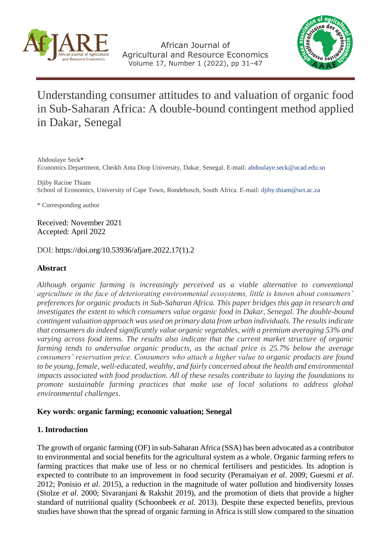

African Journal of Agricultural and Resource Economics Volume 17, Number 1 (2022), pp 31–47



# Understanding consumer attitudes to and valuation of organic food in Sub-Saharan Africa: A double-bound contingent method applied in Dakar, Senegal

Abdoulaye Seck**\*** Economics Department, Cheikh Anta Diop University, Dakar, Senegal. E-mail[: abdoulaye.seck@ucad.edu.sn](mailto:abdoulaye.seck@ucad.edu.sn)

Djiby Racine Thiam School of Economics, University of Cape Town, Rondebosch, South Africa. E-mail[: djiby.thiam@uct.ac.za](mailto:djiby.thiam@uct.ac.za)

\* Corresponding author

Received: November 2021 Accepted: April 2022

DOI: [https://doi.org/10.53936/afjare.2022.17\(1\).2](https://doi.org/10.53936/afjare.2022.17%281%29.2)

# **Abstract**

*Although organic farming is increasingly perceived as a viable alternative to conventional agriculture in the face of deteriorating environmental ecosystems, little is known about consumers' preferences for organic products in Sub-Saharan Africa. This paper bridges this gap in research and investigates the extent to which consumers value organic food in Dakar, Senegal. The double-bound contingent valuation approach was used on primary data from urban individuals. The results indicate that consumers do indeed significantly value organic vegetables, with a premium averaging 53% and varying across food items. The results also indicate that the current market structure of organic farming tends to undervalue organic products, as the actual price is 25.7% below the average consumers' reservation price. Consumers who attach a higher value to organic products are found to be young, female, well-educated, wealthy, and fairly concerned about the health and environmental impacts associated with food production. All of these results contribute to laying the foundations to promote sustainable farming practices that make use of local solutions to address global environmental challenges*.

# **Key words**: **organic farming; economic valuation; Senegal**

# **1. Introduction**

The growth of organic farming (OF) in sub-Saharan Africa (SSA) has been advocated as a contributor to environmental and social benefits for the agricultural system as a whole. Organic farming refers to farming practices that make use of less or no chemical fertilisers and pesticides. Its adoption is expected to contribute to an improvement in food security (Peramaiyan *et al*. 2009; Guesmi *et al*. 2012; Ponisio *et al*. 2015), a reduction in the magnitude of water pollution and biodiversity losses (Stolze *et al*. 2000; Sivaranjani & Rakshit 2019), and the promotion of diets that provide a higher standard of nutritional quality (Schoonbeek *et al*. 2013). Despite these expected benefits, previous studies have shown that the spread of organic farming in Africa is still slow compared to the situation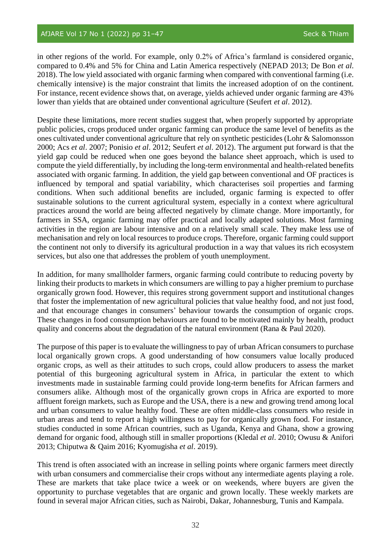in other regions of the world. For example, only 0.2% of Africa's farmland is considered organic, compared to 0.4% and 5% for China and Latin America respectively (NEPAD 2013; De Bon *et al*. 2018). The low yield associated with organic farming when compared with conventional farming (i.e. chemically intensive) is the major constraint that limits the increased adoption of on the continent. For instance, recent evidence shows that, on average, yields achieved under organic farming are 43% lower than yields that are obtained under conventional agriculture (Seufert *et al*. 2012).

Despite these limitations, more recent studies suggest that, when properly supported by appropriate public policies, crops produced under organic farming can produce the same level of benefits as the ones cultivated under conventional agriculture that rely on synthetic pesticides (Lohr & Salomonsson 2000; Acs *et al*. 2007; Ponisio *et al*. 2012; Seufert *et al*. 2012). The argument put forward is that the yield gap could be reduced when one goes beyond the balance sheet approach, which is used to compute the yield differentially, by including the long-term environmental and health-related benefits associated with organic farming. In addition, the yield gap between conventional and OF practices is influenced by temporal and spatial variability, which characterises soil properties and farming conditions. When such additional benefits are included, organic farming is expected to offer sustainable solutions to the current agricultural system, especially in a context where agricultural practices around the world are being affected negatively by climate change. More importantly, for farmers in SSA, organic farming may offer practical and locally adapted solutions. Most farming activities in the region are labour intensive and on a relatively small scale. They make less use of mechanisation and rely on local resources to produce crops. Therefore, organic farming could support the continent not only to diversify its agricultural production in a way that values its rich ecosystem services, but also one that addresses the problem of youth unemployment.

In addition, for many smallholder farmers, organic farming could contribute to reducing poverty by linking their products to markets in which consumers are willing to pay a higher premium to purchase organically grown food. However, this requires strong government support and institutional changes that foster the implementation of new agricultural policies that value healthy food, and not just food, and that encourage changes in consumers' behaviour towards the consumption of organic crops. These changes in food consumption behaviours are found to be motivated mainly by health, product quality and concerns about the degradation of the natural environment (Rana & Paul 2020).

The purpose of this paper is to evaluate the willingness to pay of urban African consumers to purchase local organically grown crops. A good understanding of how consumers value locally produced organic crops, as well as their attitudes to such crops, could allow producers to assess the market potential of this burgeoning agricultural system in Africa, in particular the extent to which investments made in sustainable farming could provide long-term benefits for African farmers and consumers alike. Although most of the organically grown crops in Africa are exported to more affluent foreign markets, such as Europe and the USA, there is a new and growing trend among local and urban consumers to value healthy food. These are often middle-class consumers who reside in urban areas and tend to report a high willingness to pay for organically grown food. For instance, studies conducted in some African countries, such as Uganda, Kenya and Ghana, show a growing demand for organic food, although still in smaller proportions (Kledal *et al*. 2010; Owusu & Anifori 2013; Chiputwa & Qaim 2016; Kyomugisha *et al*. 2019).

This trend is often associated with an increase in selling points where organic farmers meet directly with urban consumers and commercialise their crops without any intermediate agents playing a role. These are markets that take place twice a week or on weekends, where buyers are given the opportunity to purchase vegetables that are organic and grown locally. These weekly markets are found in several major African cities, such as Nairobi, Dakar, Johannesburg, Tunis and Kampala.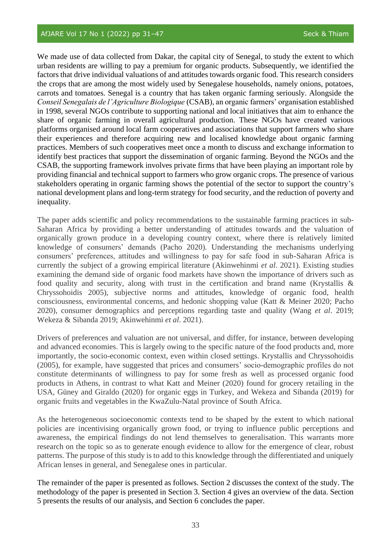We made use of data collected from Dakar, the capital city of Senegal, to study the extent to which urban residents are willing to pay a premium for organic products. Subsequently, we identified the factors that drive individual valuations of and attitudes towards organic food. This research considers the crops that are among the most widely used by Senegalese households, namely onions, potatoes, carrots and tomatoes. Senegal is a country that has taken organic farming seriously. Alongside the *Conseil Senegalais de l'Agriculture Biologique* (CSAB), an organic farmers' organisation established in 1998, several NGOs contribute to supporting national and local initiatives that aim to enhance the share of organic farming in overall agricultural production. These NGOs have created various platforms organised around local farm cooperatives and associations that support farmers who share their experiences and therefore acquiring new and localised knowledge about organic farming practices. Members of such cooperatives meet once a month to discuss and exchange information to identify best practices that support the dissemination of organic farming. Beyond the NGOs and the CSAB, the supporting framework involves private firms that have been playing an important role by providing financial and technical support to farmers who grow organic crops. The presence of various stakeholders operating in organic farming shows the potential of the sector to support the country's national development plans and long-term strategy for food security, and the reduction of poverty and inequality.

The paper adds scientific and policy recommendations to the sustainable farming practices in sub-Saharan Africa by providing a better understanding of attitudes towards and the valuation of organically grown produce in a developing country context, where there is relatively limited knowledge of consumers' demands (Pacho 2020). Understanding the mechanisms underlying consumers' preferences, attitudes and willingness to pay for safe food in sub-Saharan Africa is currently the subject of a growing empirical literature (Akinwehinmi *et al*. 2021). Existing studies examining the demand side of organic food markets have shown the importance of drivers such as food quality and security, along with trust in the certification and brand name (Krystallis & Chryssohoidis 2005), subjective norms and attitudes, knowledge of organic food, health consciousness, environmental concerns, and hedonic shopping value (Katt & Meiner 2020; Pacho 2020), consumer demographics and perceptions regarding taste and quality (Wang *et al*. 2019; Wekeza & Sibanda 2019; Akinwehinmi *et al*. 2021).

Drivers of preferences and valuation are not universal, and differ, for instance, between developing and advanced economies. This is largely owing to the specific nature of the food products and, more importantly, the socio-economic context, even within closed settings. Krystallis and Chryssohoidis (2005), for example, have suggested that prices and consumers' socio‐demographic profiles do not constitute determinants of willingness to pay for some fresh as well as processed organic food products in Athens, in contrast to what Katt and Meiner (2020) found for grocery retailing in the USA, Güney and Giraldo (2020) for organic eggs in Turkey, and Wekeza and Sibanda (2019) for organic fruits and vegetables in the KwaZulu-Natal province of South Africa.

As the heterogeneous socioeconomic contexts tend to be shaped by the extent to which national policies are incentivising organically grown food, or trying to influence public perceptions and awareness, the empirical findings do not lend themselves to generalisation. This warrants more research on the topic so as to generate enough evidence to allow for the emergence of clear, robust patterns. The purpose of this study is to add to this knowledge through the differentiated and uniquely African lenses in general, and Senegalese ones in particular.

The remainder of the paper is presented as follows. Section 2 discusses the context of the study. The methodology of the paper is presented in Section 3. Section 4 gives an overview of the data. Section 5 presents the results of our analysis, and Section 6 concludes the paper.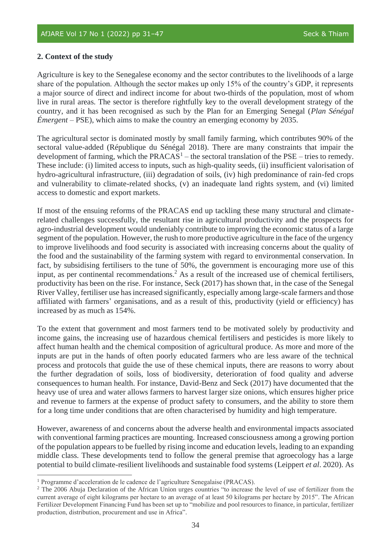# **2. Context of the study**

Agriculture is key to the Senegalese economy and the sector contributes to the livelihoods of a large share of the population. Although the sector makes up only 15% of the country's GDP, it represents a major source of direct and indirect income for about two-thirds of the population, most of whom live in rural areas. The sector is therefore rightfully key to the overall development strategy of the country, and it has been recognised as such by the Plan for an Emerging Senegal (*Plan Sénégal Émergent* – PSE), which aims to make the country an emerging economy by 2035.

The agricultural sector is dominated mostly by small family farming, which contributes 90% of the sectoral value-added (République du Sénégal 2018). There are many constraints that impair the development of farming, which the PRACAS<sup>1</sup> – the sectoral translation of the PSE – tries to remedy. These include: (i) limited access to inputs, such as high-quality seeds, (ii) insufficient valorisation of hydro-agricultural infrastructure, (iii) degradation of soils, (iv) high predominance of rain-fed crops and vulnerability to climate-related shocks, (v) an inadequate land rights system, and (vi) limited access to domestic and export markets.

If most of the ensuing reforms of the PRACAS end up tackling these many structural and climaterelated challenges successfully, the resultant rise in agricultural productivity and the prospects for agro-industrial development would undeniably contribute to improving the economic status of a large segment of the population. However, the rush to more productive agriculture in the face of the urgency to improve livelihoods and food security is associated with increasing concerns about the quality of the food and the sustainability of the farming system with regard to environmental conservation. In fact, by subsidising fertilisers to the tune of 50%, the government is encouraging more use of this input, as per continental recommendations. <sup>2</sup> As a result of the increased use of chemical fertilisers, productivity has been on the rise. For instance, Seck (2017) has shown that, in the case of the Senegal River Valley, fertiliser use has increased significantly, especially among large-scale farmers and those affiliated with farmers' organisations, and as a result of this, productivity (yield or efficiency) has increased by as much as 154%.

To the extent that government and most farmers tend to be motivated solely by productivity and income gains, the increasing use of hazardous chemical fertilisers and pesticides is more likely to affect human health and the chemical composition of agricultural produce. As more and more of the inputs are put in the hands of often poorly educated farmers who are less aware of the technical process and protocols that guide the use of these chemical inputs, there are reasons to worry about the further degradation of soils, loss of biodiversity, deterioration of food quality and adverse consequences to human health. For instance, David-Benz and Seck (2017) have documented that the heavy use of urea and water allows farmers to harvest larger size onions, which ensures higher price and revenue to farmers at the expense of product safety to consumers, and the ability to store them for a long time under conditions that are often characterised by humidity and high temperature.

However, awareness of and concerns about the adverse health and environmental impacts associated with conventional farming practices are mounting. Increased consciousness among a growing portion of the population appears to be fuelled by rising income and education levels, leading to an expanding middle class. These developments tend to follow the general premise that agroecology has a large potential to build climate-resilient livelihoods and sustainable food systems (Leippert *et al*. 2020). As

<sup>1</sup> Programme d'acceleration de le cadence de l'agriculture Senegalaise (PRACAS).

<sup>&</sup>lt;sup>2</sup> The 2006 Abuja Declaration of the African Union urges countries "to increase the level of use of fertilizer from the current average of eight kilograms per hectare to an average of at least 50 kilograms per hectare by 2015". The African Fertilizer Development Financing Fund has been set up to "mobilize and pool resources to finance, in particular, fertilizer production, distribution, procurement and use in Africa".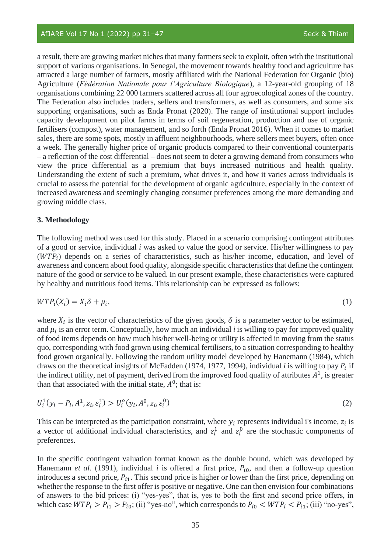a result, there are growing market niches that many farmers seek to exploit, often with the institutional support of various organisations. In Senegal, the movement towards healthy food and agriculture has attracted a large number of farmers, mostly affiliated with the National Federation for Organic (bio) Agriculture (*Fédération Nationale pour l'Agriculture Biologique*), a 12-year-old grouping of 18 organisations combining 22 000 farmers scattered across all four agroecological zones of the country. The Federation also includes traders, sellers and transformers, as well as consumers, and some six supporting organisations, such as Enda Pronat (2020). The range of institutional support includes capacity development on pilot farms in terms of soil regeneration, production and use of organic fertilisers (compost), water management, and so forth (Enda Pronat 2016). When it comes to market sales, there are some spots, mostly in affluent neighbourhoods, where sellers meet buyers, often once a week. The generally higher price of organic products compared to their conventional counterparts – a reflection of the cost differential – does not seem to deter a growing demand from consumers who view the price differential as a premium that buys increased nutritious and health quality. Understanding the extent of such a premium, what drives it, and how it varies across individuals is crucial to assess the potential for the development of organic agriculture, especially in the context of increased awareness and seemingly changing consumer preferences among the more demanding and growing middle class.

### **3. Methodology**

The following method was used for this study. Placed in a scenario comprising contingent attributes of a good or service, individual *i* was asked to value the good or service. His/her willingness to pay  $(WTP_i)$  depends on a series of characteristics, such as his/her income, education, and level of awareness and concern about food quality, alongside specific characteristics that define the contingent nature of the good or service to be valued. In our present example, these characteristics were captured by healthy and nutritious food items. This relationship can be expressed as follows:

$$
WTP_i(X_i) = X_i \delta + \mu_i,\tag{1}
$$

where  $X_i$  is the vector of characteristics of the given goods,  $\delta$  is a parameter vector to be estimated, and  $\mu_i$  is an error term. Conceptually, how much an individual  $i$  is willing to pay for improved quality of food items depends on how much his/her well-being or utility is affected in moving from the status quo, corresponding with food grown using chemical fertilisers, to a situation corresponding to healthy food grown organically. Following the random utility model developed by Hanemann (1984), which draws on the theoretical insights of McFadden (1974, 1977, 1994), individual *i* is willing to pay  $P_i$  if the indirect utility, net of payment, derived from the improved food quality of attributes  $A<sup>1</sup>$ , is greater than that associated with the initial state,  $A^0$ ; that is:

$$
U_i^1(y_i - P_i, A^1, z_i, \varepsilon_i^1) > U_i^0(y_i, A^0, z_i, \varepsilon_i^0)
$$
\n(2)

This can be interpreted as the participation constraint, where  $y_i$  represents individual i's income,  $z_i$  is a vector of additional individual characteristics, and  $\varepsilon_i^1$  and  $\varepsilon_i^0$  are the stochastic components of preferences.

In the specific contingent valuation format known as the double bound, which was developed by Hanemann *et al.* (1991), individual *i* is offered a first price,  $P_{i0}$ , and then a follow-up question introduces a second price,  $P_{i1}$ . This second price is higher or lower than the first price, depending on whether the response to the first offer is positive or negative. One can then envision four combinations of answers to the bid prices: (i) "yes-yes", that is, yes to both the first and second price offers, in which case  $WTP_i > P_{i1} > P_{i0}$ ; (ii) "yes-no", which corresponds to  $P_{i0} < WTP_i < P_{i1}$ ; (iii) "no-yes",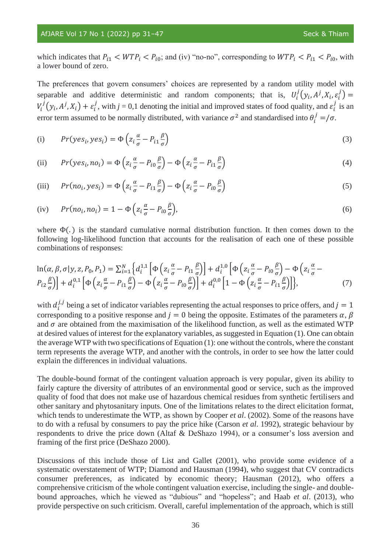### AfJARE Vol 17 No 1 (2022) pp 31-47 Seck & Thiam

which indicates that  $P_{i1} < WTP_i < P_{i0}$ ; and (iv) "no-no", corresponding to  $WTP_i < P_{i1} < P_{i0}$ , with a lower bound of zero.

The preferences that govern consumers' choices are represented by a random utility model with separable and additive deterministic and random components; that is,  $U_i^j(y_i, A^j, X_i, \varepsilon_i^j) =$  $V_i^j(y_i, A^j, X_i) + \varepsilon_i^j$ , with  $j = 0, 1$  denoting the initial and improved states of food quality, and  $\varepsilon_i^j$  is an error term assumed to be normally distributed, with variance  $\sigma^2$  and standardised into  $\theta_i^j = / \sigma$ .

(i) 
$$
Pr(yes_i, yes_i) = \Phi\left(z_i \frac{\alpha}{\sigma} - P_{i1} \frac{\beta}{\sigma}\right)
$$
 (3)

(ii) 
$$
Pr(yes_i, no_i) = \Phi\left(z_i \frac{\alpha}{\sigma} - P_{i0} \frac{\beta}{\sigma}\right) - \Phi\left(z_i \frac{\alpha}{\sigma} - P_{i1} \frac{\beta}{\sigma}\right)
$$
(4)

(iii) 
$$
Pr(no_i, yes_i) = \Phi\left(z_i \frac{\alpha}{\sigma} - P_{i1} \frac{\beta}{\sigma}\right) - \Phi\left(z_i \frac{\alpha}{\sigma} - P_{i0} \frac{\beta}{\sigma}\right)
$$
(5)

(iv) 
$$
Pr(no_i, no_i) = 1 - \Phi\left(z_i \frac{\alpha}{\sigma} - P_{i0} \frac{\beta}{\sigma}\right),
$$
 (6)

where  $\Phi(.)$  is the standard cumulative normal distribution function. It then comes down to the following log-likelihood function that accounts for the realisation of each one of these possible combinations of responses:

$$
\ln(\alpha, \beta, \sigma | y, z, P_0, P_1) = \sum_{i=1}^{N} \left\{ d_i^{1,1} \left[ \Phi \left( z_i \frac{\alpha}{\sigma} - P_{i1} \frac{\beta}{\sigma} \right) \right] + d_i^{1,0} \left[ \Phi \left( z_i \frac{\alpha}{\sigma} - P_{i0} \frac{\beta}{\sigma} \right) - \Phi \left( z_i \frac{\alpha}{\sigma} - P_{i2} \frac{\beta}{\sigma} \right) \right] \right\}
$$
\n
$$
P_{i2} \frac{\beta}{\sigma} \left[ \Phi \left( z_i \frac{\alpha}{\sigma} - P_{i1} \frac{\beta}{\sigma} \right) - \Phi \left( z_i \frac{\alpha}{\sigma} - P_{i0} \frac{\beta}{\sigma} \right) \right] + d_i^{0,0} \left[ 1 - \Phi \left( z_i \frac{\alpha}{\sigma} - P_{i1} \frac{\beta}{\sigma} \right) \right],\tag{7}
$$

with  $d_i^{j,j}$  being a set of indicator variables representing the actual responses to price offers, and  $j = 1$ corresponding to a positive response and  $j = 0$  being the opposite. Estimates of the parameters  $\alpha$ ,  $\beta$ and  $\sigma$  are obtained from the maximisation of the likelihood function, as well as the estimated WTP at desired values of interest for the explanatory variables, as suggested in Equation (1). One can obtain the average WTP with two specifications of Equation (1): one without the controls, where the constant term represents the average WTP, and another with the controls, in order to see how the latter could explain the differences in individual valuations.

The double-bound format of the contingent valuation approach is very popular, given its ability to fairly capture the diversity of attributes of an environmental good or service, such as the improved quality of food that does not make use of hazardous chemical residues from synthetic fertilisers and other sanitary and phytosanitary inputs. One of the limitations relates to the direct elicitation format, which tends to underestimate the WTP, as shown by Cooper *et al*. (2002). Some of the reasons have to do with a refusal by consumers to pay the price hike (Carson *et al*. 1992), strategic behaviour by respondents to drive the price down (Altaf & DeShazo 1994), or a consumer's loss aversion and framing of the first price (DeShazo 2000).

Discussions of this include those of List and Gallet (2001), who provide some evidence of a systematic overstatement of WTP; Diamond and Hausman (1994), who suggest that CV contradicts consumer preferences, as indicated by economic theory; Hausman (2012), who offers a comprehensive criticism of the whole contingent valuation exercise, including the single- and doublebound approaches, which he viewed as "dubious" and "hopeless"; and Haab *et al*. (2013), who provide perspective on such criticism. Overall, careful implementation of the approach, which is still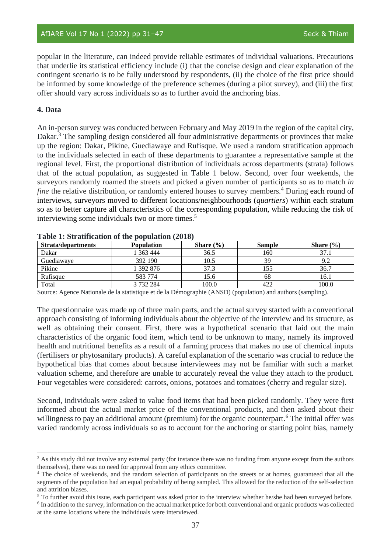popular in the literature, can indeed provide reliable estimates of individual valuations. Precautions that underlie its statistical efficiency include (i) that the concise design and clear explanation of the contingent scenario is to be fully understood by respondents, (ii) the choice of the first price should be informed by some knowledge of the preference schemes (during a pilot survey), and (iii) the first offer should vary across individuals so as to further avoid the anchoring bias.

## **4. Data**

An in-person survey was conducted between February and May 2019 in the region of the capital city, Dakar.<sup>3</sup> The sampling design considered all four administrative departments or provinces that make up the region: Dakar, Pikine, Guediawaye and Rufisque. We used a random stratification approach to the individuals selected in each of these departments to guarantee a representative sample at the regional level. First, the proportional distribution of individuals across departments (strata) follows that of the actual population, as suggested in Table 1 below. Second, over four weekends, the surveyors randomly roamed the streets and picked a given number of participants so as to match *in fine* the relative distribution, or randomly entered houses to survey members.<sup>4</sup> During each round of interviews, surveyors moved to different locations/neighbourhoods (*quartiers*) within each stratum so as to better capture all characteristics of the corresponding population, while reducing the risk of interviewing some individuals two or more times. 5

| <b>Strata/departments</b> | <b>Population</b> | Share $(\% )$ | <b>Sample</b> | Share $(\% )$ |
|---------------------------|-------------------|---------------|---------------|---------------|
| Dakar                     | 363 444           | 36.5          | 160           | 37.           |
| Guediawaye                | 392 190           | 10.5          | 39            | 9.2           |
| Pikine                    | 1 392 876         | 37.3          | 155           | 36.7          |
| Rufisque                  | 583 774           | 15.6          | 68            | 16.1          |
| Total                     | 3 732 284         | 100.0         | 422           | 100.0         |

#### **Table 1: Stratification of the population (2018)**

Source: Agence Nationale de la statistique et de la Démographie (ANSD) (population) and authors (sampling).

The questionnaire was made up of three main parts, and the actual survey started with a conventional approach consisting of informing individuals about the objective of the interview and its structure, as well as obtaining their consent. First, there was a hypothetical scenario that laid out the main characteristics of the organic food item, which tend to be unknown to many, namely its improved health and nutritional benefits as a result of a farming process that makes no use of chemical inputs (fertilisers or phytosanitary products). A careful explanation of the scenario was crucial to reduce the hypothetical bias that comes about because interviewees may not be familiar with such a market valuation scheme, and therefore are unable to accurately reveal the value they attach to the product. Four vegetables were considered: carrots, onions, potatoes and tomatoes (cherry and regular size).

Second, individuals were asked to value food items that had been picked randomly. They were first informed about the actual market price of the conventional products, and then asked about their willingness to pay an additional amount (premium) for the organic counterpart.<sup>6</sup> The initial offer was varied randomly across individuals so as to account for the anchoring or starting point bias, namely

<sup>&</sup>lt;sup>3</sup> As this study did not involve any external party (for instance there was no funding from anyone except from the authors themselves), there was no need for approval from any ethics committee.

<sup>4</sup> The choice of weekends, and the random selection of participants on the streets or at homes, guaranteed that all the segments of the population had an equal probability of being sampled. This allowed for the reduction of the self-selection and attrition biases.

<sup>5</sup> To further avoid this issue, each participant was asked prior to the interview whether he/she had been surveyed before. <sup>6</sup> In addition to the survey, information on the actual market price for both conventional and organic products was collected

at the same locations where the individuals were interviewed.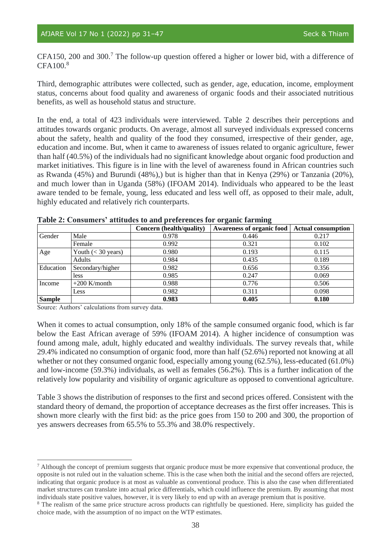CFA150, 200 and 300.<sup>7</sup> The follow-up question offered a higher or lower bid, with a difference of CFA100.<sup>8</sup>

Third, demographic attributes were collected, such as gender, age, education, income, employment status, concerns about food quality and awareness of organic foods and their associated nutritious benefits, as well as household status and structure.

In the end, a total of 423 individuals were interviewed. Table 2 describes their perceptions and attitudes towards organic products. On average, almost all surveyed individuals expressed concerns about the safety, health and quality of the food they consumed, irrespective of their gender, age, education and income. But, when it came to awareness of issues related to organic agriculture, fewer than half (40.5%) of the individuals had no significant knowledge about organic food production and market initiatives. This figure is in line with the level of awareness found in African countries such as Rwanda (45%) and Burundi (48%),) but is higher than that in Kenya (29%) or Tanzania (20%), and much lower than in Uganda (58%) (IFOAM 2014). Individuals who appeared to be the least aware tended to be female, young, less educated and less well off, as opposed to their male, adult, highly educated and relatively rich counterparts.

|               |                      | Concern (health/quality) | <b>Awareness of organic food</b> | <b>Actual consumption</b> |
|---------------|----------------------|--------------------------|----------------------------------|---------------------------|
| Gender        | Male                 | 0.978                    | 0.446                            | 0.217                     |
|               | Female               | 0.992                    | 0.321                            | 0.102                     |
| Age           | Youth $(< 30$ years) | 0.980                    | 0.193                            | 0.115                     |
|               | Adults               | 0.984                    | 0.435                            | 0.189                     |
| Education     | Secondary/higher     | 0.982                    | 0.656                            | 0.356                     |
|               | less                 | 0.985                    | 0.247                            | 0.069                     |
| Income        | $+200$ K/month       | 0.988                    | 0.776                            | 0.506                     |
|               | Less                 | 0.982                    | 0.311                            | 0.098                     |
| <b>Sample</b> |                      | 0.983                    | 0.405                            | 0.180                     |

|  |  |  | Table 2: Consumers' attitudes to and preferences for organic farming |  |  |
|--|--|--|----------------------------------------------------------------------|--|--|
|  |  |  |                                                                      |  |  |

Source: Authors' calculations from survey data.

When it comes to actual consumption, only 18% of the sample consumed organic food, which is far below the East African average of 59% (IFOAM 2014). A higher incidence of consumption was found among male, adult, highly educated and wealthy individuals. The survey reveals that, while 29.4% indicated no consumption of organic food, more than half (52.6%) reported not knowing at all whether or not they consumed organic food, especially among young (62.5%), less-educated (61.0%) and low-income (59.3%) individuals, as well as females (56.2%). This is a further indication of the relatively low popularity and visibility of organic agriculture as opposed to conventional agriculture.

Table 3 shows the distribution of responses to the first and second prices offered. Consistent with the standard theory of demand, the proportion of acceptance decreases as the first offer increases. This is shown more clearly with the first bid: as the price goes from 150 to 200 and 300, the proportion of yes answers decreases from 65.5% to 55.3% and 38.0% respectively.

<sup>7</sup> Although the concept of premium suggests that organic produce must be more expensive that conventional produce, the opposite is not ruled out in the valuation scheme. This is the case when both the initial and the second offers are rejected, indicating that organic produce is at most as valuable as conventional produce. This is also the case when differentiated market structures can translate into actual price differentials, which could influence the premium. By assuming that most individuals state positive values, however, it is very likely to end up with an average premium that is positive.

<sup>&</sup>lt;sup>8</sup> The realism of the same price structure across products can rightfully be questioned. Here, simplicity has guided the choice made, with the assumption of no impact on the WTP estimates.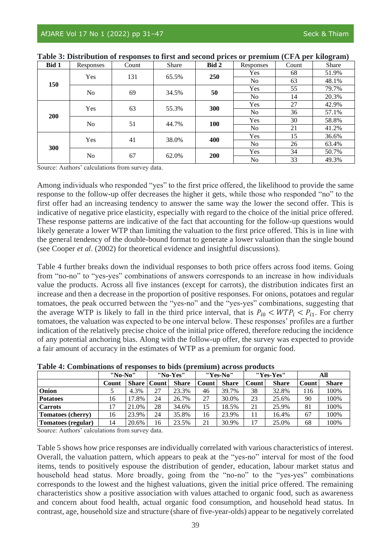| Bid 1 | Responses      | Count | Share              | Bid 2      | Responses      | Count | Share |
|-------|----------------|-------|--------------------|------------|----------------|-------|-------|
| 150   | Yes            | 131   | 65.5%              | 250        | <b>Yes</b>     | 68    | 51.9% |
|       |                |       |                    |            | N <sub>0</sub> | 63    | 48.1% |
|       | N <sub>o</sub> | 69    | 34.5%              | 50         | Yes            | 55    | 79.7% |
|       |                |       |                    |            | N <sub>o</sub> | 14    | 20.3% |
| 200   | Yes            | 63    | 55.3%              | 300        | Yes            | 27    | 42.9% |
|       |                |       |                    |            | N <sub>0</sub> | 36    | 57.1% |
|       | N <sub>o</sub> |       | 100<br>51<br>44.7% |            | Yes            | 30    | 58.8% |
|       |                |       |                    |            | N <sub>o</sub> | 21    | 41.2% |
|       | Yes            | 41    | 38.0%              | 400        | Yes            | 15    | 36.6% |
| 300   |                |       |                    |            | No             | 26    | 63.4% |
|       |                | 67    |                    | <b>200</b> | Yes            | 34    | 50.7% |
|       | No             |       | 62.0%              |            | N <sub>0</sub> | 33    | 49.3% |

| Table 3: Distribution of responses to first and second prices or premium (CFA per kilogram) |  |  |  |  |  |  |  |  |  |  |  |  |  |
|---------------------------------------------------------------------------------------------|--|--|--|--|--|--|--|--|--|--|--|--|--|
|---------------------------------------------------------------------------------------------|--|--|--|--|--|--|--|--|--|--|--|--|--|

Source: Authors' calculations from survey data.

Among individuals who responded "yes" to the first price offered, the likelihood to provide the same response to the follow-up offer decreases the higher it gets, while those who responded "no" to the first offer had an increasing tendency to answer the same way the lower the second offer. This is indicative of negative price elasticity, especially with regard to the choice of the initial price offered. These response patterns are indicative of the fact that accounting for the follow-up questions would likely generate a lower WTP than limiting the valuation to the first price offered. This is in line with the general tendency of the double-bound format to generate a lower valuation than the single bound (see Cooper *et al*. (2002) for theoretical evidence and insightful discussions).

Table 4 further breaks down the individual responses to both price offers across food items. Going from "no-no" to "yes-yes" combinations of answers corresponds to an increase in how individuals value the products. Across all five instances (except for carrots), the distribution indicates first an increase and then a decrease in the proportion of positive responses. For onions, potatoes and regular tomatoes, the peak occurred between the "yes-no" and the "yes-yes" combinations, suggesting that the average WTP is likely to fall in the third price interval, that is  $P_{i0}$  < WTP<sub>i</sub> <  $P_{i1}$ . For cherry tomatoes, the valuation was expected to be one interval below. These responses' profiles are a further indication of the relatively precise choice of the initial price offered, therefore reducing the incidence of any potential anchoring bias. Along with the follow-up offer, the survey was expected to provide a fair amount of accuracy in the estimates of WTP as a premium for organic food.

|                    | "No-No" |              | "No-Yes" |              | "Yes-No" |              | "Yes-Yes" |              | All   |              |
|--------------------|---------|--------------|----------|--------------|----------|--------------|-----------|--------------|-------|--------------|
|                    | Count   | <b>Share</b> | Count    | <b>Share</b> | Count    | <b>Share</b> | Count     | <b>Share</b> | Count | <b>Share</b> |
| Onion              |         | 4.3%         | 27       | 23.3%        | 46       | 39.7%        | 38        | 32.8%        | 116   | 100%         |
| <b>Potatoes</b>    | 16      | 17.8%        | 24       | 26.7%        | 27       | 30.0%        | 23        | 25.6%        | 90    | 100%         |
| <b>Carrots</b>     | 17      | 21.0%        | 28       | 34.6%        | 15       | 18.5%        | 21        | 25.9%        | 81    | 100%         |
| Tomatoes (cherry)  | 16      | 23.9%        | 24       | 35.8%        | 16       | 23.9%        | 11        | 16.4%        | 67    | 100%         |
| Tomatoes (regular) | 14      | 20.6%        | 16       | 23.5%        | 21       | 30.9%        | 17        | 25.0%        | 68    | 100%         |

**Table 4: Combinations of responses to bids (premium) across products**

Source: Authors' calculations from survey data.

Table 5 shows how price responses are individually correlated with various characteristics of interest. Overall, the valuation pattern, which appears to peak at the "yes-no" interval for most of the food items, tends to positively espouse the distribution of gender, education, labour market status and household head status. More broadly, going from the "no-no" to the "yes-yes" combinations corresponds to the lowest and the highest valuations, given the initial price offered. The remaining characteristics show a positive association with values attached to organic food, such as awareness and concern about food health, actual organic food consumption, and household head status. In contrast, age, household size and structure (share of five-year-olds) appear to be negatively correlated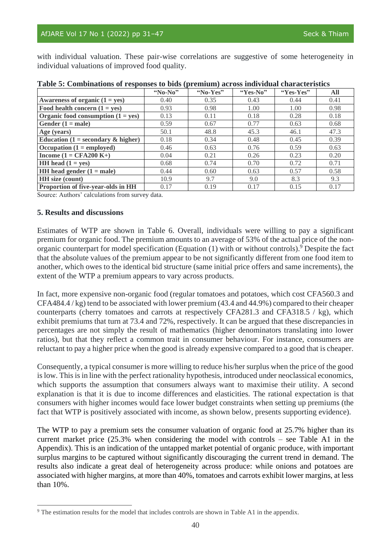with individual valuation. These pair-wise correlations are suggestive of some heterogeneity in individual valuations of improved food quality.

|                                                       | "No-No" | "No-Yes" | "Yes-No" | "Yes-Yes" | All  |
|-------------------------------------------------------|---------|----------|----------|-----------|------|
| Awareness of organic $(1 = yes)$                      | 0.40    | 0.35     | 0.43     | 0.44      | 0.41 |
| Food health concern $(1 = yes)$                       | 0.93    | 0.98     | 1.00     | 1.00      | 0.98 |
| Organic food consumption $(1 = yes)$                  | 0.13    | 0.11     | 0.18     | 0.28      | 0.18 |
| Gender $(1 = male)$                                   | 0.59    | 0.67     | 0.77     | 0.63      | 0.68 |
| Age (years)                                           | 50.1    | 48.8     | 45.3     | 46.1      | 47.3 |
| Education $(1 = \text{secondary } \& \text{ higher})$ | 0.18    | 0.34     | 0.48     | 0.45      | 0.39 |
| Occupation $(1 = \text{employed})$                    | 0.46    | 0.63     | 0.76     | 0.59      | 0.63 |
| Income $(1 = CFA200 K+)$                              | 0.04    | 0.21     | 0.26     | 0.23      | 0.20 |
| <b>HH</b> head $(1 = yes)$                            | 0.68    | 0.74     | 0.70     | 0.72      | 0.71 |
| HH head gender $(1 = male)$                           | 0.44    | 0.60     | 0.63     | 0.57      | 0.58 |
| <b>HH</b> size (count)                                | 10.9    | 9.7      | 9.0      | 8.3       | 9.3  |
| Proportion of five-year-olds in HH                    | 0.17    | 0.19     | 0.17     | 0.15      | 0.17 |

|  |  | Table 5: Combinations of responses to bids (premium) across individual characteristics |
|--|--|----------------------------------------------------------------------------------------|
|--|--|----------------------------------------------------------------------------------------|

Source: Authors' calculations from survey data.

# **5. Results and discussions**

Estimates of WTP are shown in Table 6. Overall, individuals were willing to pay a significant premium for organic food. The premium amounts to an average of 53% of the actual price of the nonorganic counterpart for model specification (Equation (1) with or without controls).<sup>9</sup> Despite the fact that the absolute values of the premium appear to be not significantly different from one food item to another, which owes to the identical bid structure (same initial price offers and same increments), the extent of the WTP a premium appears to vary across products.

In fact, more expensive non-organic food (regular tomatoes and potatoes, which cost CFA560.3 and CFA484.4 / kg) tend to be associated with lower premium (43.4 and 44.9%) compared to their cheaper counterparts (cherry tomatoes and carrots at respectively CFA281.3 and CFA318.5 / kg), which exhibit premiums that turn at 73.4 and 72%, respectively. It can be argued that these discrepancies in percentages are not simply the result of mathematics (higher denominators translating into lower ratios), but that they reflect a common trait in consumer behaviour. For instance, consumers are reluctant to pay a higher price when the good is already expensive compared to a good that is cheaper.

Consequently, a typical consumer is more willing to reduce his/her surplus when the price of the good is low. This is in line with the perfect rationality hypothesis, introduced under neoclassical economics, which supports the assumption that consumers always want to maximise their utility. A second explanation is that it is due to income differences and elasticities. The rational expectation is that consumers with higher incomes would face lower budget constraints when setting up premiums (the fact that WTP is positively associated with income, as shown below, presents supporting evidence).

The WTP to pay a premium sets the consumer valuation of organic food at 25.7% higher than its current market price (25.3% when considering the model with controls – see Table A1 in the Appendix). This is an indication of the untapped market potential of organic produce, with important surplus margins to be captured without significantly discouraging the current trend in demand. The results also indicate a great deal of heterogeneity across produce: while onions and potatoes are associated with higher margins, at more than 40%, tomatoes and carrots exhibit lower margins, at less than 10%.

<sup>9</sup> The estimation results for the model that includes controls are shown in Table A1 in the appendix.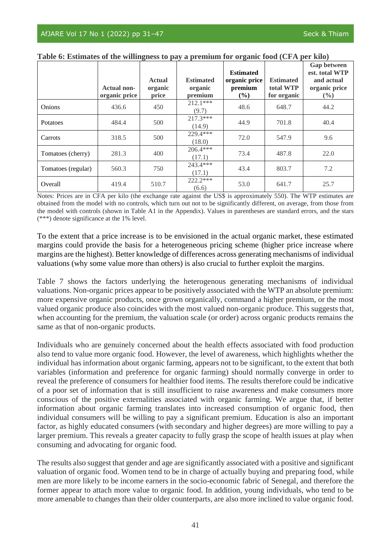|                    | <b>Actual non-</b><br>organic price | <b>Actual</b><br>organic<br>price | <b>Estimated</b><br>organic<br>premium | <b>Estimated</b><br>organic price<br>premium<br>$($ %) | <b>Estimated</b><br>total WTP<br>for organic | <b>Gap between</b><br>est. total WTP<br>and actual<br>organic price<br>$\frac{0}{0}$ |
|--------------------|-------------------------------------|-----------------------------------|----------------------------------------|--------------------------------------------------------|----------------------------------------------|--------------------------------------------------------------------------------------|
| <b>Onions</b>      | 436.6                               | 450                               | $212.1***$<br>(9.7)                    | 48.6                                                   | 648.7                                        | 44.2                                                                                 |
| Potatoes           | 484.4                               | 500                               | $217.3***$<br>(14.9)                   | 44.9                                                   | 701.8                                        | 40.4                                                                                 |
| Carrots            | 318.5                               | 500                               | $229.4***$<br>(18.0)                   | 72.0                                                   | 547.9                                        | 9.6                                                                                  |
| Tomatoes (cherry)  | 281.3                               | 400                               | 206.4***<br>(17.1)                     | 73.4                                                   | 487.8                                        | 22.0                                                                                 |
| Tomatoes (regular) | 560.3                               | 750                               | 243.4 ***<br>(17.1)                    | 43.4                                                   | 803.7                                        | 7.2                                                                                  |
| Overall            | 419.4                               | 510.7                             | $222.2***$<br>(6.6)                    | 53.0                                                   | 641.7                                        | 25.7                                                                                 |

**Table 6: Estimates of the willingness to pay a premium for organic food (CFA per kilo)**

Notes: Prices are in CFA per kilo (the exchange rate against the US\$ is approximately 550). The WTP estimates are obtained from the model with no controls, which turn out not to be significantly different, on average, from those from the model with controls (shown in Table A1 in the Appendix). Values in parentheses are standard errors, and the stars (\*\*\*) denote significance at the 1% level.

To the extent that a price increase is to be envisioned in the actual organic market, these estimated margins could provide the basis for a heterogeneous pricing scheme (higher price increase where margins are the highest). Better knowledge of differences across generating mechanisms of individual valuations (why some value more than others) is also crucial to further exploit the margins.

Table 7 shows the factors underlying the heterogenous generating mechanisms of individual valuations. Non-organic prices appear to be positively associated with the WTP an absolute premium: more expensive organic products, once grown organically, command a higher premium, or the most valued organic produce also coincides with the most valued non-organic produce. This suggests that, when accounting for the premium, the valuation scale (or order) across organic products remains the same as that of non-organic products.

Individuals who are genuinely concerned about the health effects associated with food production also tend to value more organic food. However, the level of awareness, which highlights whether the individual has information about organic farming, appears not to be significant, to the extent that both variables (information and preference for organic farming) should normally converge in order to reveal the preference of consumers for healthier food items. The results therefore could be indicative of a poor set of information that is still insufficient to raise awareness and make consumers more conscious of the positive externalities associated with organic farming. We argue that, if better information about organic farming translates into increased consumption of organic food, then individual consumers will be willing to pay a significant premium. Education is also an important factor, as highly educated consumers (with secondary and higher degrees) are more willing to pay a larger premium. This reveals a greater capacity to fully grasp the scope of health issues at play when consuming and advocating for organic food.

The results also suggest that gender and age are significantly associated with a positive and significant valuation of organic food. Women tend to be in charge of actually buying and preparing food, while men are more likely to be income earners in the socio-economic fabric of Senegal, and therefore the former appear to attach more value to organic food. In addition, young individuals, who tend to be more amenable to changes than their older counterparts, are also more inclined to value organic food.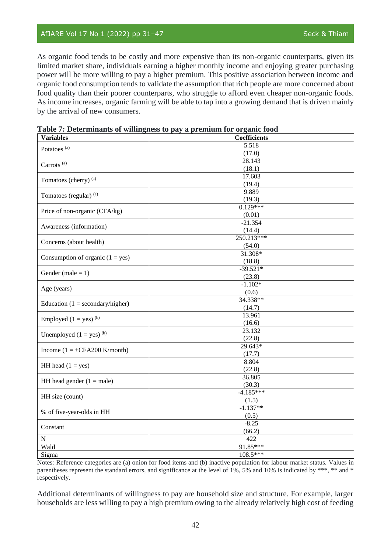## AfJARE Vol 17 No 1 (2022) pp 31-47 Seck & Thiam

As organic food tends to be costly and more expensive than its non-organic counterparts, given its limited market share, individuals earning a higher monthly income and enjoying greater purchasing power will be more willing to pay a higher premium. This positive association between income and organic food consumption tends to validate the assumption that rich people are more concerned about food quality than their poorer counterparts, who struggle to afford even cheaper non-organic foods. As income increases, organic farming will be able to tap into a growing demand that is driven mainly by the arrival of new consumers.

| <b>Variables</b>                       | <b>Coefficients</b> |  |  |  |  |  |
|----------------------------------------|---------------------|--|--|--|--|--|
| Potatoes <sup>(a)</sup>                | 5.518               |  |  |  |  |  |
|                                        | (17.0)              |  |  |  |  |  |
| Carrots <sup>(a)</sup>                 | 28.143              |  |  |  |  |  |
|                                        | (18.1)              |  |  |  |  |  |
| Tomatoes (cherry) (a)                  | 17.603              |  |  |  |  |  |
|                                        | (19.4)              |  |  |  |  |  |
| Tomatoes (regular) (a)                 | 9.889               |  |  |  |  |  |
|                                        | (19.3)              |  |  |  |  |  |
| Price of non-organic (CFA/kg)          | $0.129***$          |  |  |  |  |  |
|                                        | (0.01)              |  |  |  |  |  |
| Awareness (information)                | $-21.354$           |  |  |  |  |  |
|                                        | (14.4)              |  |  |  |  |  |
| Concerns (about health)                | 250.213***          |  |  |  |  |  |
|                                        | (54.0)              |  |  |  |  |  |
|                                        | 31.308*             |  |  |  |  |  |
| Consumption of organic $(1 = yes)$     | (18.8)              |  |  |  |  |  |
| Gender (male $= 1$ )                   | $-39.521*$          |  |  |  |  |  |
|                                        | (23.8)              |  |  |  |  |  |
|                                        | $-1.102*$           |  |  |  |  |  |
| Age (years)                            | (0.6)               |  |  |  |  |  |
| Education ( $1 =$ secondary/higher)    | 34.338**            |  |  |  |  |  |
|                                        | (14.7)              |  |  |  |  |  |
| Employed $(1 = yes)^{(b)}$             | 13.961              |  |  |  |  |  |
|                                        | (16.6)              |  |  |  |  |  |
| Unemployed $(1 = yes)^{(b)}$           | 23.132              |  |  |  |  |  |
|                                        | (22.8)              |  |  |  |  |  |
| Income $(1 = +CFA200 \text{ K/month})$ | 29.643*             |  |  |  |  |  |
|                                        | (17.7)              |  |  |  |  |  |
| HH head $(1 = yes)$                    | 8.804               |  |  |  |  |  |
|                                        | (22.8)              |  |  |  |  |  |
| HH head gender $(1 = male)$            | 36.805              |  |  |  |  |  |
|                                        | (30.3)              |  |  |  |  |  |
| HH size (count)                        | $-4.185***$         |  |  |  |  |  |
|                                        | (1.5)               |  |  |  |  |  |
| % of five-year-olds in HH              | $-1.137**$          |  |  |  |  |  |
|                                        | (0.5)               |  |  |  |  |  |
| Constant                               | $-8.25$             |  |  |  |  |  |
|                                        | (66.2)              |  |  |  |  |  |
| $\mathbf N$                            | 422                 |  |  |  |  |  |
| Wald                                   | 91.85***            |  |  |  |  |  |
| Sigma                                  | 108.5***            |  |  |  |  |  |

**Table 7: Determinants of willingness to pay a premium for organic food**

Notes: Reference categories are (a) onion for food items and (b) inactive population for labour market status. Values in parentheses represent the standard errors, and significance at the level of 1%, 5% and 10% is indicated by \*\*\*, \*\* and \* respectively.

Additional determinants of willingness to pay are household size and structure. For example, larger households are less willing to pay a high premium owing to the already relatively high cost of feeding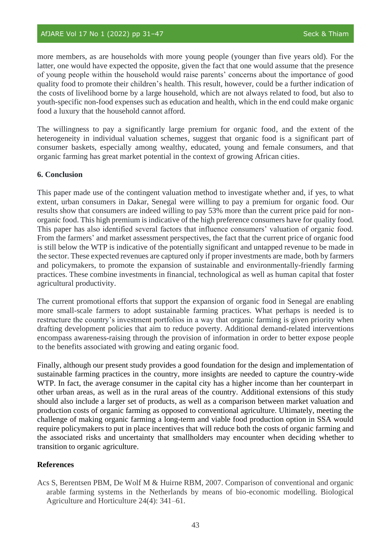more members, as are households with more young people (younger than five years old). For the latter, one would have expected the opposite, given the fact that one would assume that the presence of young people within the household would raise parents' concerns about the importance of good quality food to promote their children's health. This result, however, could be a further indication of the costs of livelihood borne by a large household, which are not always related to food, but also to youth-specific non-food expenses such as education and health, which in the end could make organic food a luxury that the household cannot afford.

The willingness to pay a significantly large premium for organic food, and the extent of the heterogeneity in individual valuation schemes, suggest that organic food is a significant part of consumer baskets, especially among wealthy, educated, young and female consumers, and that organic farming has great market potential in the context of growing African cities.

### **6. Conclusion**

This paper made use of the contingent valuation method to investigate whether and, if yes, to what extent, urban consumers in Dakar, Senegal were willing to pay a premium for organic food. Our results show that consumers are indeed willing to pay 53% more than the current price paid for nonorganic food. This high premium is indicative of the high preference consumers have for quality food. This paper has also identified several factors that influence consumers' valuation of organic food. From the farmers' and market assessment perspectives, the fact that the current price of organic food is still below the WTP is indicative of the potentially significant and untapped revenue to be made in the sector. These expected revenues are captured only if proper investments are made, both by farmers and policymakers, to promote the expansion of sustainable and environmentally-friendly farming practices. These combine investments in financial, technological as well as human capital that foster agricultural productivity.

The current promotional efforts that support the expansion of organic food in Senegal are enabling more small-scale farmers to adopt sustainable farming practices. What perhaps is needed is to restructure the country's investment portfolios in a way that organic farming is given priority when drafting development policies that aim to reduce poverty. Additional demand-related interventions encompass awareness-raising through the provision of information in order to better expose people to the benefits associated with growing and eating organic food.

Finally, although our present study provides a good foundation for the design and implementation of sustainable farming practices in the country, more insights are needed to capture the country-wide WTP. In fact, the average consumer in the capital city has a higher income than her counterpart in other urban areas, as well as in the rural areas of the country. Additional extensions of this study should also include a larger set of products, as well as a comparison between market valuation and production costs of organic farming as opposed to conventional agriculture. Ultimately, meeting the challenge of making organic farming a long-term and viable food production option in SSA would require policymakers to put in place incentives that will reduce both the costs of organic farming and the associated risks and uncertainty that smallholders may encounter when deciding whether to transition to organic agriculture.

### **References**

Acs S, Berentsen PBM, De Wolf M & Huirne RBM, 2007. Comparison of conventional and organic arable farming systems in the Netherlands by means of bio-economic modelling. Biological Agriculture and Horticulture 24(4): 341–61.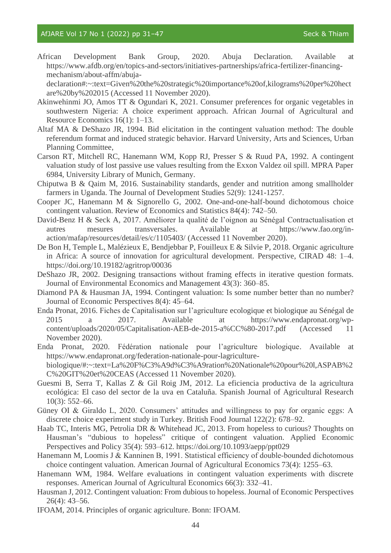African Development Bank Group, 2020. Abuja Declaration. Available at https://www.afdb.org/en/topics-and-sectors/initiatives-partnerships/africa-fertilizer-financingmechanism/about-affm/abuja-

declaration#:~:text=Given%20the%20strategic%20importance%20of,kilograms%20per%20hect are%20by%202015 (Accessed 11 November 2020).

- Akinwehinmi JO, Amos TT & Ogundari K, 2021. Consumer preferences for organic vegetables in southwestern Nigeria: A choice experiment approach. African Journal of Agricultural and Resource Economics 16(1): 1–13.
- Altaf MA & DeShazo JR, 1994. Bid elicitation in the contingent valuation method: The double referendum format and induced strategic behavior. Harvard University, Arts and Sciences, Urban Planning Committee,
- Carson RT, Mitchell RC, Hanemann WM, Kopp RJ, Presser S & Ruud PA, 1992. A contingent valuation study of lost passive use values resulting from the Exxon Valdez oil spill. MPRA Paper 6984, University Library of Munich, Germany.
- Chiputwa B & Qaim M, 2016. Sustainability standards, gender and nutrition among smallholder farmers in Uganda. The Journal of Development Studies 52(9): 1241-1257.
- Cooper JC, Hanemann M & Signorello G, 2002. One-and-one-half-bound dichotomous choice contingent valuation. Review of Economics and Statistics 84(4): 742–50.
- David-Benz H & Seck A, 2017. Améliorer la qualité de l'oignon au Sénégal Contractualisation et autres mesures transversales. Available at https://www.fao.org/inaction/mafap/resources/detail/es/c/1105403/ (Accessed 11 November 2020).
- De Bon H, Temple L, Malézieux E, Bendjebbar P, Fouilleux E & Silvie P, 2018. Organic agriculture in Africa: A source of innovation for agricultural development. Perspective, CIRAD 48: 1–4. https://doi.org/10.19182/agritrop/00036
- DeShazo JR, 2002. Designing transactions without framing effects in iterative question formats. Journal of Environmental Economics and Management 43(3): 360–85.
- Diamond PA & Hausman JA, 1994. Contingent valuation: Is some number better than no number? Journal of Economic Perspectives 8(4): 45–64.
- Enda Pronat, 2016. Fiches de Capitalisation sur l'agriculture ecologique et biologique au Sénégal de 2015 a 2017. Available at https://www.endapronat.org/wpcontent/uploads/2020/05/Capitalisation-AEB-de-2015-a%CC%80-2017.pdf (Accessed 11 November 2020).
- Enda Pronat, 2020. Fédération nationale pour l'agriculture biologique. Available at https://www.endapronat.org/federation-nationale-pour-lagriculturebiologique/#:~:text=La%20F%C3%A9d%C3%A9ration%20Nationale%20pour%20l,ASPAB%2 C%20GIT%20et%20CEAS (Accessed 11 November 2020).
- Guesmi B, Serra T, Kallas Z & Gil Roig JM, 2012. La eficiencia productiva de la agricultura ecológica: El caso del sector de la uva en Cataluña. Spanish Journal of Agricultural Research 10(3): 552–66.
- Güney OI & Giraldo L, 2020. Consumers' attitudes and willingness to pay for organic eggs: A discrete choice experiment study in Turkey. British Food Journal 122(2): 678–92.
- Haab TC, Interis MG, Petrolia DR & Whitehead JC, 2013. From hopeless to curious? Thoughts on Hausman's "dubious to hopeless" critique of contingent valuation. Applied Economic Perspectives and Policy 35(4): 593–612. https://doi.org/10.1093/aepp/ppt029
- Hanemann M, Loomis J & Kanninen B, 1991. Statistical efficiency of double-bounded dichotomous choice contingent valuation. American Journal of Agricultural Economics 73(4): 1255–63.
- Hanemann WM, 1984. Welfare evaluations in contingent valuation experiments with discrete responses. American Journal of Agricultural Economics 66(3): 332–41.
- Hausman J, 2012. Contingent valuation: From dubious to hopeless. Journal of Economic Perspectives 26(4): 43–56.
- IFOAM, 2014. Principles of organic agriculture. Bonn: IFOAM.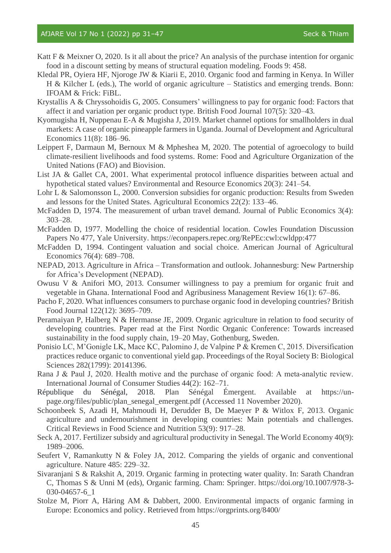- Katt F & Meixner O, 2020. Is it all about the price? An analysis of the purchase intention for organic food in a discount setting by means of structural equation modeling. Foods 9: 458.
- Kledal PR, Oyiera HF, Njoroge JW & Kiarii E, 2010. Organic food and farming in Kenya. In Willer H & Kilcher L (eds.), The world of organic agriculture – Statistics and emerging trends. Bonn: IFOAM & Frick: FiBL.
- Krystallis A & Chryssohoidis G, 2005. Consumers' willingness to pay for organic food: Factors that affect it and variation per organic product type. British Food Journal 107(5): 320–43.
- Kyomugisha H, Nuppenau E-A & Mugisha J, 2019. Market channel options for smallholders in dual markets: A case of organic pineapple farmers in Uganda. Journal of Development and Agricultural Economics 11(8): 186–96.
- Leippert F, Darmaun M, Bernoux M & Mpheshea M, 2020. The potential of agroecology to build climate-resilient livelihoods and food systems. Rome: Food and Agriculture Organization of the United Nations (FAO) and Biovision.
- List JA & Gallet CA, 2001. What experimental protocol influence disparities between actual and hypothetical stated values? Environmental and Resource Economics 20(3): 241–54.
- Lohr L & Salomonsson L, 2000. Conversion subsidies for organic production: Results from Sweden and lessons for the United States. Agricultural Economics 22(2): 133–46.
- McFadden D, 1974. The measurement of urban travel demand. Journal of Public Economics 3(4): 303–28.
- McFadden D, 1977. Modelling the choice of residential location. Cowles Foundation Discussion Papers No 477, Yale University. https://econpapers.repec.org/RePEc:cwl:cwldpp:477
- McFadden D, 1994. Contingent valuation and social choice. American Journal of Agricultural Economics 76(4): 689–708.
- NEPAD, 2013. Agriculture in Africa Transformation and outlook. Johannesburg: New Partnership for Africa's Development (NEPAD).
- Owusu V & Anifori MO, 2013. Consumer willingness to pay a premium for organic fruit and vegetable in Ghana. International Food and Agribusiness Management Review 16(1): 67–86.
- Pacho F, 2020. What influences consumers to purchase organic food in developing countries? British Food Journal 122(12): 3695–709.
- Peramaiyan P, Halberg N & Hermanse JE, 2009. Organic agriculture in relation to food security of developing countries. Paper read at the First Nordic Organic Conference: Towards increased sustainability in the food supply chain, 19–20 May, Gothenburg, Sweden.
- Ponisio LC, M'Gonigle LK, Mace KC, Palomino J, de Valpine P & Kremen C, 2015. Diversification practices reduce organic to conventional yield gap. Proceedings of the Royal Society B: Biological Sciences 282(1799): 20141396.
- Rana J & Paul J, 2020. Health motive and the purchase of organic food: A meta-analytic review. International Journal of Consumer Studies 44(2): 162–71.
- République du Sénégal, 2018. Plan Sénégal Émergent. Available at https://unpage.org/files/public/plan\_senegal\_emergent.pdf (Accessed 11 November 2020).
- Schoonbeek S, Azadi H, Mahmoudi H, Derudder B, De Maeyer P & Witlox F, 2013. Organic agriculture and undernourishment in developing countries: Main potentials and challenges. Critical Reviews in Food Science and Nutrition 53(9): 917–28.
- Seck A, 2017. Fertilizer subsidy and agricultural productivity in Senegal. The World Economy 40(9): 1989–2006.
- Seufert V, Ramankutty N & Foley JA, 2012. Comparing the yields of organic and conventional agriculture. Nature 485: 229–32.
- Sivaranjani S & Rakshit A, 2019. Organic farming in protecting water quality. In: Sarath Chandran C, Thomas S & Unni M (eds), Organic farming. Cham: Springer. https://doi.org/10.1007/978-3- 030-04657-6\_1
- Stolze M, Piorr A, Häring AM & Dabbert, 2000. Environmental impacts of organic farming in Europe: Economics and policy. Retrieved from https://orgprints.org/8400/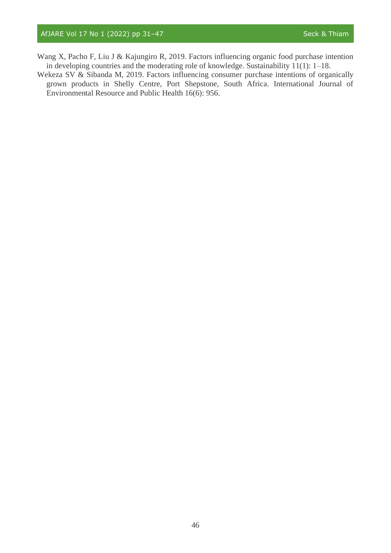- Wang X, Pacho F, Liu J & Kajungiro R, 2019. Factors influencing organic food purchase intention in developing countries and the moderating role of knowledge. Sustainability 11(1): 1–18.
- Wekeza SV & Sibanda M, 2019. Factors influencing consumer purchase intentions of organically grown products in Shelly Centre, Port Shepstone, South Africa. International Journal of Environmental Resource and Public Health 16(6): 956.